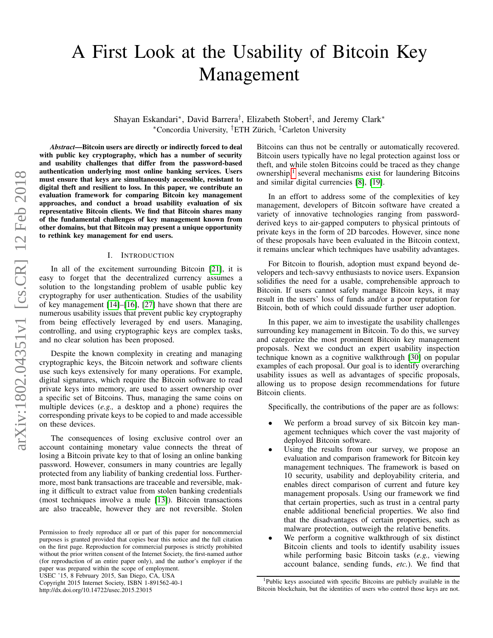# A First Look at the Usability of Bitcoin Key Management

Shayan Eskandari<sup>∗</sup>, David Barrera<sup>†</sup>, Elizabeth Stobert<sup>‡</sup>, and Jeremy Clark<sup>∗</sup> <sup>∗</sup>Concordia University, †ETH Zurich, ¨ ‡Carleton University

*Abstract*—Bitcoin users are directly or indirectly forced to deal with public key cryptography, which has a number of security and usability challenges that differ from the password-based authentication underlying most online banking services. Users must ensure that keys are simultaneously accessible, resistant to digital theft and resilient to loss. In this paper, we contribute an evaluation framework for comparing Bitcoin key management approaches, and conduct a broad usability evaluation of six representative Bitcoin clients. We find that Bitcoin shares many of the fundamental challenges of key management known from other domains, but that Bitcoin may present a unique opportunity to rethink key management for end users.

#### I. INTRODUCTION

In all of the excitement surrounding Bitcoin [\[21\]](#page-9-0), it is easy to forget that the decentralized currency assumes a solution to the longstanding problem of usable public key cryptography for user authentication. Studies of the usability of key management [\[14\]](#page-9-1)–[\[16\]](#page-9-2), [\[27\]](#page-9-3) have shown that there are numerous usability issues that prevent public key cryptography from being effectively leveraged by end users. Managing, controlling, and using cryptographic keys are complex tasks, and no clear solution has been proposed.

Despite the known complexity in creating and managing cryptographic keys, the Bitcoin network and software clients use such keys extensively for many operations. For example, digital signatures, which require the Bitcoin software to read private keys into memory, are used to assert ownership over a specific set of Bitcoins. Thus, managing the same coins on multiple devices (*e.g.,* a desktop and a phone) requires the corresponding private keys to be copied to and made accessible on these devices.

The consequences of losing exclusive control over an account containing monetary value connects the threat of losing a Bitcoin private key to that of losing an online banking password. However, consumers in many countries are legally protected from any liability of banking credential loss. Furthermore, most bank transactions are traceable and reversible, making it difficult to extract value from stolen banking credentials (most techniques involve a mule [\[13\]](#page-9-4)). Bitcoin transactions are also traceable, however they are not reversible. Stolen

USEC '15, 8 February 2015, San Diego, CA, USA

Copyright 2015 Internet Society, ISBN 1-891562-40-1 http://dx.doi.org/10.14722/usec.2015.23015

Bitcoins can thus not be centrally or automatically recovered. Bitcoin users typically have no legal protection against loss or theft, and while stolen Bitcoins could be traced as they change ownership,<sup>[1](#page-0-0)</sup> several mechanisms exist for laundering Bitcoins and similar digital currencies [\[8\]](#page-9-5), [\[19\]](#page-9-6).

In an effort to address some of the complexities of key management, developers of Bitcoin software have created a variety of innovative technologies ranging from passwordderived keys to air-gapped computers to physical printouts of private keys in the form of 2D barcodes. However, since none of these proposals have been evaluated in the Bitcoin context, it remains unclear which techniques have usability advantages.

For Bitcoin to flourish, adoption must expand beyond developers and tech-savvy enthusiasts to novice users. Expansion solidifies the need for a usable, comprehensible approach to Bitcoin. If users cannot safely manage Bitcoin keys, it may result in the users' loss of funds and/or a poor reputation for Bitcoin, both of which could dissuade further user adoption.

In this paper, we aim to investigate the usability challenges surrounding key management in Bitcoin. To do this, we survey and categorize the most prominent Bitcoin key management proposals. Next we conduct an expert usability inspection technique known as a cognitive walkthrough [\[30\]](#page-9-7) on popular examples of each proposal. Our goal is to identify overarching usability issues as well as advantages of specific proposals, allowing us to propose design recommendations for future Bitcoin clients.

Specifically, the contributions of the paper are as follows:

- We perform a broad survey of six Bitcoin key management techniques which cover the vast majority of deployed Bitcoin software.
- Using the results from our survey, we propose an evaluation and comparison framework for Bitcoin key management techniques. The framework is based on 10 security, usability and deployability criteria, and enables direct comparison of current and future key management proposals. Using our framework we find that certain properties, such as trust in a central party enable additional beneficial properties. We also find that the disadvantages of certain properties, such as malware protection, outweigh the relative benefits.
- We perform a cognitive walkthrough of six distinct Bitcoin clients and tools to identify usability issues while performing basic Bitcoin tasks (*e.g.,* viewing account balance, sending funds, *etc.*). We find that

Permission to freely reproduce all or part of this paper for noncommercial purposes is granted provided that copies bear this notice and the full citation on the first page. Reproduction for commercial purposes is strictly prohibited without the prior written consent of the Internet Society, the first-named author (for reproduction of an entire paper only), and the author's employer if the paper was prepared within the scope of employment.

<span id="page-0-0"></span><sup>&</sup>lt;sup>1</sup>Public keys associated with specific Bitcoins are publicly available in the Bitcoin blockchain, but the identities of users who control those keys are not.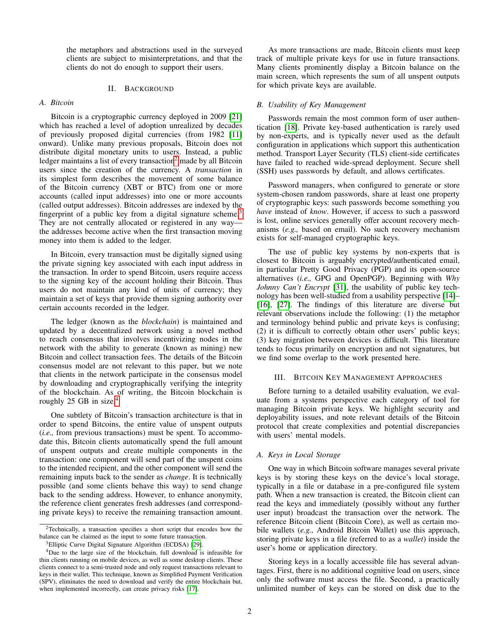the metaphors and abstractions used in the surveyed clients are subject to misinterpretations, and that the clients do not do enough to support their users.

#### II. BACKGROUND

## *A. Bitcoin*

Bitcoin is a cryptographic currency deployed in 2009 [\[21\]](#page-9-0) which has reached a level of adoption unrealized by decades of previously proposed digital currencies (from 1982 [\[11\]](#page-9-8) onward). Unlike many previous proposals, Bitcoin does not distribute digital monetary units to users. Instead, a public ledger maintains a list of every transaction<sup>[2](#page-1-0)</sup> made by all Bitcoin users since the creation of the currency. A *transaction* in its simplest form describes the movement of some balance of the Bitcoin currency (XBT or BTC) from one or more accounts (called input addresses) into one or more accounts (called output addresses). Bitcoin addresses are indexed by the fingerprint of a public key from a digital signature scheme.<sup>[3](#page-1-1)</sup> They are not centrally allocated or registered in any way the addresses become active when the first transaction moving money into them is added to the ledger.

In Bitcoin, every transaction must be digitally signed using the private signing key associated with each input address in the transaction. In order to spend Bitcoin, users require access to the signing key of the account holding their Bitcoin. Thus users do not maintain any kind of units of currency; they maintain a set of keys that provide them signing authority over certain accounts recorded in the ledger.

The ledger (known as the *blockchain*) is maintained and updated by a decentralized network using a novel method to reach consensus that involves incentivizing nodes in the network with the ability to generate (known as mining) new Bitcoin and collect transaction fees. The details of the Bitcoin consensus model are not relevant to this paper, but we note that clients in the network participate in the consensus model by downloading and cryptographically verifying the integrity of the blockchain. As of writing, the Bitcoin blockchain is roughly  $25$  GB in size.<sup>[4](#page-1-2)</sup>

One subtlety of Bitcoin's transaction architecture is that in order to spend Bitcoins, the entire value of unspent outputs (*i.e.,* from previous transactions) must be spent. To accommodate this, Bitcoin clients automatically spend the full amount of unspent outputs and create multiple components in the transaction: one component will send part of the unspent coins to the intended recipient, and the other component will send the remaining inputs back to the sender as *change*. It is technically possible (and some clients behave this way) to send change back to the sending address. However, to enhance anonymity, the reference client generates fresh addresses (and corresponding private keys) to receive the remaining transaction amount.

As more transactions are made, Bitcoin clients must keep track of multiple private keys for use in future transactions. Many clients prominently display a Bitcoin balance on the main screen, which represents the sum of all unspent outputs for which private keys are available.

#### *B. Usability of Key Management*

Passwords remain the most common form of user authentication [\[18\]](#page-9-11). Private key-based authentication is rarely used by non-experts, and is typically never used as the default configuration in applications which support this authentication method. Transport Layer Security (TLS) client-side certificates have failed to reached wide-spread deployment. Secure shell (SSH) uses passwords by default, and allows certificates.

Password managers, when configured to generate or store system-chosen random passwords, share at least one property of cryptographic keys: such passwords become something you *have* instead of *know*. However, if access to such a password is lost, online services generally offer account recovery mechanisms (*e.g.,* based on email). No such recovery mechanism exists for self-managed cryptographic keys.

The use of public key systems by non-experts that is closest to Bitcoin is arguably encrypted/authenticated email, in particular Pretty Good Privacy (PGP) and its open-source alternatives (*i.e.,* GPG and OpenPGP). Beginning with *Why Johnny Can't Encrypt* [\[31\]](#page-9-12), the usability of public key technology has been well-studied from a usability perspective [\[14\]](#page-9-1)– [\[16\]](#page-9-2), [\[27\]](#page-9-3). The findings of this literature are diverse but relevant observations include the following: (1) the metaphor and terminology behind public and private keys is confusing; (2) it is difficult to correctly obtain other users' public keys; (3) key migration between devices is difficult. This literature tends to focus primarily on encryption and not signatures, but we find some overlap to the work presented here.

#### <span id="page-1-4"></span>III. BITCOIN KEY MANAGEMENT APPROACHES

Before turning to a detailed usability evaluation, we evaluate from a systems perspective each category of tool for managing Bitcoin private keys. We highlight security and deployability issues, and note relevant details of the Bitcoin protocol that create complexities and potential discrepancies with users' mental models.

#### <span id="page-1-3"></span>*A. Keys in Local Storage*

One way in which Bitcoin software manages several private keys is by storing these keys on the device's local storage, typically in a file or database in a pre-configured file system path. When a new transaction is created, the Bitcoin client can read the keys and immediately (possibly without any further user input) broadcast the transaction over the network. The reference Bitcoin client (Bitcoin Core), as well as certain mobile wallets (*e.g.,* Android Bitcoin Wallet) use this approach, storing private keys in a file (referred to as a *wallet*) inside the user's home or application directory.

Storing keys in a locally accessible file has several advantages. First, there is no additional cognitive load on users, since only the software must access the file. Second, a practically unlimited number of keys can be stored on disk due to the

<span id="page-1-0"></span><sup>2</sup>Technically, a transaction specifies a short script that encodes how the balance can be claimed as the input to some future transaction.

<span id="page-1-2"></span><span id="page-1-1"></span><sup>3</sup>Elliptic Curve Digital Signature Algorithm (ECDSA) [\[29\]](#page-9-9).

<sup>4</sup>Due to the large size of the blockchain, full download is infeasible for thin clients running on mobile devices, as well as some desktop clients. These clients connect to a semi-trusted node and only request transactions relevant to keys in their wallet. This technique, known as Simplified Payment Verification (SPV), eliminates the need to download and verify the entire blockchain but, when implemented incorrectly, can create privacy risks [\[17\]](#page-9-10).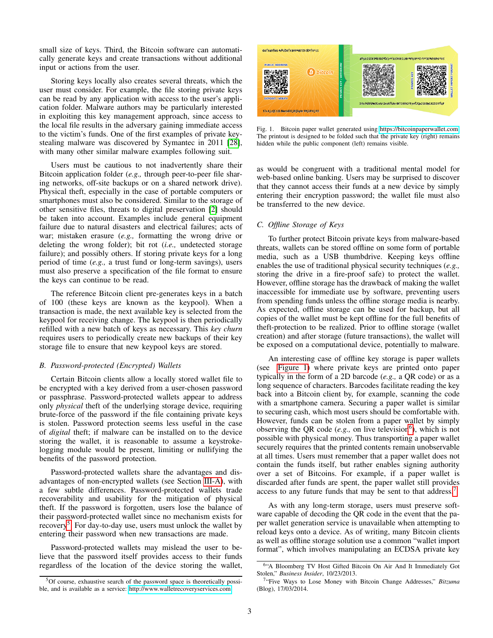small size of keys. Third, the Bitcoin software can automatically generate keys and create transactions without additional input or actions from the user.

Storing keys locally also creates several threats, which the user must consider. For example, the file storing private keys can be read by any application with access to the user's application folder. Malware authors may be particularly interested in exploiting this key management approach, since access to the local file results in the adversary gaining immediate access to the victim's funds. One of the first examples of private keystealing malware was discovered by Symantec in 2011 [\[28\]](#page-9-13), with many other similar malware examples following suit.

Users must be cautious to not inadvertently share their Bitcoin application folder (*e.g.,* through peer-to-peer file sharing networks, off-site backups or on a shared network drive). Physical theft, especially in the case of portable computers or smartphones must also be considered. Similar to the storage of other sensitive files, threats to digital preservation [\[2\]](#page-9-14) should be taken into account. Examples include general equipment failure due to natural disasters and electrical failures; acts of war; mistaken erasure (*e.g.,* formatting the wrong drive or deleting the wrong folder); bit rot (*i.e.,* undetected storage failure); and possibly others. If storing private keys for a long period of time (*e.g.,* a trust fund or long-term savings), users must also preserve a specification of the file format to ensure the keys can continue to be read.

The reference Bitcoin client pre-generates keys in a batch of 100 (these keys are known as the keypool). When a transaction is made, the next available key is selected from the keypool for receiving change. The keypool is then periodically refilled with a new batch of keys as necessary. This *key churn* requires users to periodically create new backups of their key storage file to ensure that new keypool keys are stored.

## *B. Password-protected (Encrypted) Wallets*

Certain Bitcoin clients allow a locally stored wallet file to be encrypted with a key derived from a user-chosen password or passphrase. Password-protected wallets appear to address only *physical* theft of the underlying storage device, requiring brute-force of the password if the file containing private keys is stolen. Password protection seems less useful in the case of *digital* theft; if malware can be installed on to the device storing the wallet, it is reasonable to assume a keystrokelogging module would be present, limiting or nullifying the benefits of the password protection.

Password-protected wallets share the advantages and disadvantages of non-encrypted wallets (see Section [III-A\)](#page-1-3), with a few subtle differences. Password-protected wallets trade recoverability and usability for the mitigation of physical theft. If the password is forgotten, users lose the balance of their password-protected wallet since no mechanism exists for recovery<sup>[5](#page-2-0)</sup>. For day-to-day use, users must unlock the wallet by entering their password when new transactions are made.

Password-protected wallets may mislead the user to believe that the password itself provides access to their funds regardless of the location of the device storing the wallet,



<span id="page-2-1"></span>Fig. 1. Bitcoin paper wallet generated using [https://bitcoinpaperwallet.com.](https://bitcoinpaperwallet.com) The printout is designed to be folded such that the private key (right) remains hidden while the public component (left) remains visible.

as would be congruent with a traditional mental model for web-based online banking. Users may be surprised to discover that they cannot access their funds at a new device by simply entering their encryption password; the wallet file must also be transferred to the new device.

## *C. Offline Storage of Keys*

To further protect Bitcoin private keys from malware-based threats, wallets can be stored offline on some form of portable media, such as a USB thumbdrive. Keeping keys offline enables the use of traditional physical security techniques (*e.g.,* storing the drive in a fire-proof safe) to protect the wallet. However, offline storage has the drawback of making the wallet inaccessible for immediate use by software, preventing users from spending funds unless the offline storage media is nearby. As expected, offline storage can be used for backup, but all copies of the wallet must be kept offline for the full benefits of theft-protection to be realized. Prior to offline storage (wallet creation) and after storage (future transactions), the wallet will be exposed on a computational device, potentially to malware.

An interesting case of offline key storage is paper wallets (see [Figure 1\)](#page-2-1) where private keys are printed onto paper typically in the form of a 2D barcode (*e.g.,* a QR code) or as a long sequence of characters. Barcodes facilitate reading the key back into a Bitcoin client by, for example, scanning the code with a smartphone camera. Securing a paper wallet is similar to securing cash, which most users should be comfortable with. However, funds can be stolen from a paper wallet by simply observing the QR code  $(e.g.,)$  on live television<sup>[6](#page-2-2)</sup>), which is not possible with physical money. Thus transporting a paper wallet securely requires that the printed contents remain unobservable at all times. Users must remember that a paper wallet does not contain the funds itself, but rather enables signing authority over a set of Bitcoins. For example, if a paper wallet is discarded after funds are spent, the paper wallet still provides access to any future funds that may be sent to that address.<sup>[7](#page-2-3)</sup>

As with any long-term storage, users must preserve software capable of decoding the QR code in the event that the paper wallet generation service is unavailable when attempting to reload keys onto a device. As of writing, many Bitcoin clients as well as offline storage solution use a common "wallet import format", which involves manipulating an ECDSA private key

<span id="page-2-0"></span><sup>5</sup>Of course, exhaustive search of the password space is theoretically possible, and is available as a service:<http://www.walletrecoveryservices.com>

<span id="page-2-2"></span><sup>&</sup>lt;sup>6</sup>"A Bloomberg TV Host Gifted Bitcoin On Air And It Immediately Got Stolen," *Business Insider*, 10/23/2013.

<span id="page-2-3"></span><sup>&</sup>lt;sup>7</sup>"Five Ways to Lose Money with Bitcoin Change Addresses," Bitzuma (Blog), 17/03/2014.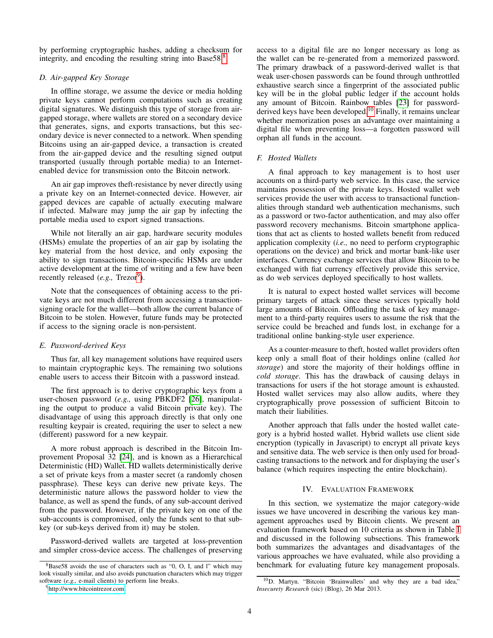by performing cryptographic hashes, adding a checksum for integrity, and encoding the resulting string into Base 5[8](#page-3-0).<sup>8</sup>

## *D. Air-gapped Key Storage*

In offline storage, we assume the device or media holding private keys cannot perform computations such as creating digital signatures. We distinguish this type of storage from airgapped storage, where wallets are stored on a secondary device that generates, signs, and exports transactions, but this secondary device is never connected to a network. When spending Bitcoins using an air-gapped device, a transaction is created from the air-gapped device and the resulting signed output transported (usually through portable media) to an Internetenabled device for transmission onto the Bitcoin network.

An air gap improves theft-resistance by never directly using a private key on an Internet-connected device. However, air gapped devices are capable of actually executing malware if infected. Malware may jump the air gap by infecting the portable media used to export signed transactions.

While not literally an air gap, hardware security modules (HSMs) emulate the properties of an air gap by isolating the key material from the host device, and only exposing the ability to sign transactions. Bitcoin-specific HSMs are under active development at the time of writing and a few have been recently released (e.g., Trezor<sup>[9](#page-3-1)</sup>).

Note that the consequences of obtaining access to the private keys are not much different from accessing a transactionsigning oracle for the wallet—both allow the current balance of Bitcoin to be stolen. However, future funds may be protected if access to the signing oracle is non-persistent.

## *E. Password-derived Keys*

Thus far, all key management solutions have required users to maintain cryptographic keys. The remaining two solutions enable users to access their Bitcoin with a password instead.

The first approach is to derive cryptographic keys from a user-chosen password (*e.g.,* using PBKDF2 [\[26\]](#page-9-15), manipulating the output to produce a valid Bitcoin private key). The disadvantage of using this approach directly is that only one resulting keypair is created, requiring the user to select a new (different) password for a new keypair.

A more robust approach is described in the Bitcoin Improvement Proposal 32 [\[24\]](#page-9-16), and is known as a Hierarchical Deterministic (HD) Wallet. HD wallets deterministically derive a set of private keys from a master secret (a randomly chosen passphrase). These keys can derive new private keys. The deterministic nature allows the password holder to view the balance, as well as spend the funds, of any sub-account derived from the password. However, if the private key on one of the sub-accounts is compromised, only the funds sent to that subkey (or sub-keys derived from it) may be stolen.

Password-derived wallets are targeted at loss-prevention and simpler cross-device access. The challenges of preserving access to a digital file are no longer necessary as long as the wallet can be re-generated from a memorized password. The primary drawback of a password-derived wallet is that weak user-chosen passwords can be found through unthrottled exhaustive search since a fingerprint of the associated public key will be in the global public ledger if the account holds any amount of Bitcoin. Rainbow tables [\[23\]](#page-9-17) for password-derived keys have been developed.<sup>[10](#page-3-2)</sup> Finally, it remains unclear whether memorization poses an advantage over maintaining a digital file when preventing loss—a forgotten password will orphan all funds in the account.

#### *F. Hosted Wallets*

A final approach to key management is to host user accounts on a third-party web service. In this case, the service maintains possession of the private keys. Hosted wallet web services provide the user with access to transactional functionalities through standard web authentication mechanisms, such as a password or two-factor authentication, and may also offer password recovery mechanisms. Bitcoin smartphone applications that act as clients to hosted wallets benefit from reduced application complexity (*i.e.,* no need to perform cryptographic operations on the device) and brick and mortar bank-like user interfaces. Currency exchange services that allow Bitcoin to be exchanged with fiat currency effectively provide this service, as do web services deployed specifically to host wallets.

It is natural to expect hosted wallet services will become primary targets of attack since these services typically hold large amounts of Bitcoin. Offloading the task of key management to a third-party requires users to assume the risk that the service could be breached and funds lost, in exchange for a traditional online banking-style user experience.

As a counter-measure to theft, hosted wallet providers often keep only a small float of their holdings online (called *hot storage*) and store the majority of their holdings offline in *cold storage*. This has the drawback of causing delays in transactions for users if the hot storage amount is exhausted. Hosted wallet services may also allow audits, where they cryptographically prove possession of sufficient Bitcoin to match their liabilities.

Another approach that falls under the hosted wallet category is a hybrid hosted wallet. Hybrid wallets use client side encryption (typically in Javascript) to encrypt all private keys and sensitive data. The web service is then only used for broadcasting transactions to the network and for displaying the user's balance (which requires inspecting the entire blockchain).

## IV. EVALUATION FRAMEWORK

In this section, we systematize the major category-wide issues we have uncovered in describing the various key management approaches used by Bitcoin clients. We present an evaluation framework based on 10 criteria as shown in Table [I](#page-4-0) and discussed in the following subsections. This framework both summarizes the advantages and disadvantages of the various approaches we have evaluated, while also providing a benchmark for evaluating future key management proposals.

<span id="page-3-0"></span> $8Base58$  avoids the use of characters such as "0, O, I, and l" which may look visually similar, and also avoids punctuation characters which may trigger software (*e.g.,* e-mail clients) to perform line breaks.

<span id="page-3-1"></span><sup>9</sup><http://www.bitcointrezor.com>

<span id="page-3-2"></span><sup>10</sup>D. Martyn. "Bitcoin 'Brainwallets' and why they are a bad idea," *Insecurety Research* (sic) (Blog), 26 Mar 2013.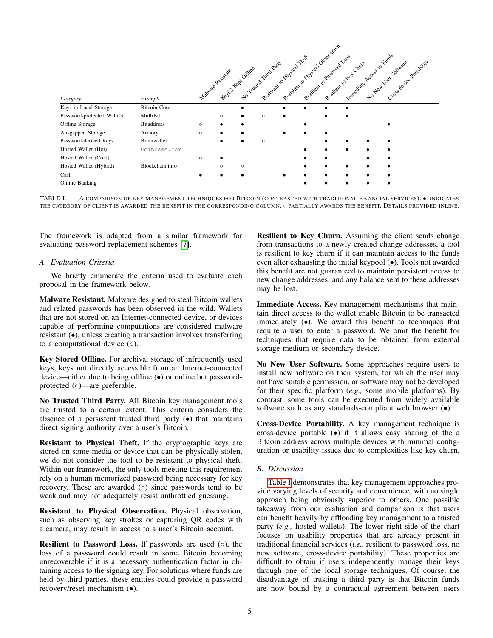| Category                   | Example             | Resident to Physical Observation<br>Immediate Access to Finds<br>Resistant to provide the Theory<br>Resilient 10 Pressided Loss<br>Cross de Hice Portably 1<br>tion Translation Trail Party<br>No Jean Visor Software<br>Resilient to Key Chim<br>Keylor Keyt Offline<br>Malvine Resistant |         |           |         |  |  |  |  |  |  |  |
|----------------------------|---------------------|--------------------------------------------------------------------------------------------------------------------------------------------------------------------------------------------------------------------------------------------------------------------------------------------|---------|-----------|---------|--|--|--|--|--|--|--|
| Keys in Local Storage      | <b>Bitcoin Core</b> |                                                                                                                                                                                                                                                                                            |         | $\bullet$ |         |  |  |  |  |  |  |  |
| Password-protected Wallets | MultiBit            |                                                                                                                                                                                                                                                                                            | $\circ$ |           | $\circ$ |  |  |  |  |  |  |  |
| Offline Storage            | <b>Bitaddress</b>   | $\circ$                                                                                                                                                                                                                                                                                    |         |           |         |  |  |  |  |  |  |  |
| Air-gapped Storage         | Armory              | $\circ$                                                                                                                                                                                                                                                                                    | ٠       |           |         |  |  |  |  |  |  |  |
| Password-derived Keys      | Brainwallet         |                                                                                                                                                                                                                                                                                            |         |           | $\circ$ |  |  |  |  |  |  |  |
| Hosted Wallet (Hot)        | Coinbase.com        |                                                                                                                                                                                                                                                                                            |         |           |         |  |  |  |  |  |  |  |
| Hosted Wallet (Cold)       |                     | $\circ$                                                                                                                                                                                                                                                                                    |         |           |         |  |  |  |  |  |  |  |
| Hosted Wallet (Hybrid)     | Blockchain.info     |                                                                                                                                                                                                                                                                                            | $\circ$ | $\circ$   |         |  |  |  |  |  |  |  |
| Cash                       |                     | $\bullet$                                                                                                                                                                                                                                                                                  | ٠       | $\bullet$ |         |  |  |  |  |  |  |  |
| Online Banking             |                     |                                                                                                                                                                                                                                                                                            |         |           |         |  |  |  |  |  |  |  |

<span id="page-4-0"></span>TABLE I. A COMPARISON OF KEY MANAGEMENT TECHNIQUES FOR BITCOIN (CONTRASTED WITH TRADITIONAL FINANCIAL SERVICES). • INDICATES THE CATEGORY OF CLIENT IS AWARDED THE BENEFIT IN THE CORRESPONDING COLUMN. O PARTIALLY AWARDS THE BENEFIT. DETAILS PROVIDED INLINE.

The framework is adapted from a similar framework for evaluating password replacement schemes [\[7\]](#page-9-18).

## *A. Evaluation Criteria*

We briefly enumerate the criteria used to evaluate each proposal in the framework below.

Malware Resistant. Malware designed to steal Bitcoin wallets and related passwords has been observed in the wild. Wallets that are not stored on an Internet-connected device, or devices capable of performing computations are considered malware resistant (•), unless creating a transaction involves transferring to a computational device  $(○)$ .

Key Stored Offline. For archival storage of infrequently used keys, keys not directly accessible from an Internet-connected device—either due to being offline (•) or online but passwordprotected (○)—are preferable.

No Trusted Third Party. All Bitcoin key management tools are trusted to a certain extent. This criteria considers the absence of a persistent trusted third party  $\left( \bullet \right)$  that maintains direct signing authority over a user's Bitcoin.

Resistant to Physical Theft. If the cryptographic keys are stored on some media or device that can be physically stolen, we do not consider the tool to be resistant to physical theft. Within our framework, the only tools meeting this requirement rely on a human memorized password being necessary for key recovery. These are awarded (○) since passwords tend to be weak and may not adequately resist unthrottled guessing.

Resistant to Physical Observation. Physical observation, such as observing key strokes or capturing QR codes with a camera, may result in access to a user's Bitcoin account.

**Resilient to Password Loss.** If passwords are used  $( \circ )$ , the loss of a password could result in some Bitcoin becoming unrecoverable if it is a necessary authentication factor in obtaining access to the signing key. For solutions where funds are held by third parties, these entities could provide a password recovery/reset mechanism (•).

Resilient to Key Churn. Assuming the client sends change from transactions to a newly created change addresses, a tool is resilient to key churn if it can maintain access to the funds even after exhausting the initial keypool (•). Tools not awarded this benefit are not guaranteed to maintain persistent access to new change addresses, and any balance sent to these addresses may be lost.

Immediate Access. Key management mechanisms that maintain direct access to the wallet enable Bitcoin to be transacted immediately (•). We award this benefit to techniques that require a user to enter a password. We omit the benefit for techniques that require data to be obtained from external storage medium or secondary device.

No New User Software. Some approaches require users to install new software on their system, for which the user may not have suitable permission, or software may not be developed for their specific platform (*e.g.,* some mobile platforms). By contrast, some tools can be executed from widely available software such as any standards-compliant web browser  $(\bullet)$ .

Cross-Device Portability. A key management technique is cross-device portable (•) if it allows easy sharing of the a Bitcoin address across multiple devices with minimal configuration or usability issues due to complexities like key churn.

## *B. Discussion*

[Table I](#page-4-0) demonstrates that key management approaches provide varying levels of security and convenience, with no single approach being obviously superior to others. One possible takeaway from our evaluation and comparison is that users can benefit heavily by offloading key management to a trusted party (*e.g.,* hosted wallets). The lower right side of the chart focuses on usability properties that are already present in traditional financial services (*i.e.,* resilient to password loss, no new software, cross-device portability). These properties are difficult to obtain if users independently manage their keys through one of the local storage techniques. Of course, the disadvantage of trusting a third party is that Bitcoin funds are now bound by a contractual agreement between users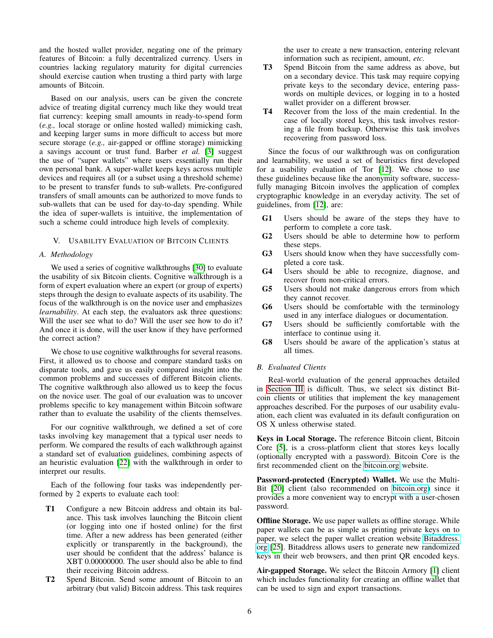and the hosted wallet provider, negating one of the primary features of Bitcoin: a fully decentralized currency. Users in countries lacking regulatory maturity for digital currencies should exercise caution when trusting a third party with large amounts of Bitcoin.

Based on our analysis, users can be given the concrete advice of treating digital currency much like they would treat fiat currency: keeping small amounts in ready-to-spend form (*e.g.,* local storage or online hosted walled) mimicking cash, and keeping larger sums in more difficult to access but more secure storage (*e.g.,* air-gapped or offline storage) mimicking a savings account or trust fund. Barber *et al.* [\[3\]](#page-9-19) suggest the use of "super wallets" where users essentially run their own personal bank. A super-wallet keeps keys across multiple devices and requires all (or a subset using a threshold scheme) to be present to transfer funds to sub-wallets. Pre-configured transfers of small amounts can be authorized to move funds to sub-wallets that can be used for day-to-day spending. While the idea of super-wallets is intuitive, the implementation of such a scheme could introduce high levels of complexity.

## V. USABILITY EVALUATION OF BITCOIN CLIENTS

#### *A. Methodology*

We used a series of cognitive walkthroughs [\[30\]](#page-9-7) to evaluate the usability of six Bitcoin clients. Cognitive walkthrough is a form of expert evaluation where an expert (or group of experts) steps through the design to evaluate aspects of its usability. The focus of the walkthrough is on the novice user and emphasizes *learnability*. At each step, the evaluators ask three questions: Will the user see what to do? Will the user see how to do it? And once it is done, will the user know if they have performed the correct action?

We chose to use cognitive walkthroughs for several reasons. First, it allowed us to choose and compare standard tasks on disparate tools, and gave us easily compared insight into the common problems and successes of different Bitcoin clients. The cognitive walkthrough also allowed us to keep the focus on the novice user. The goal of our evaluation was to uncover problems specific to key management within Bitcoin software rather than to evaluate the usability of the clients themselves.

For our cognitive walkthrough, we defined a set of core tasks involving key management that a typical user needs to perform. We compared the results of each walkthrough against a standard set of evaluation guidelines, combining aspects of an heuristic evaluation [\[22\]](#page-9-20) with the walkthrough in order to interpret our results.

Each of the following four tasks was independently performed by 2 experts to evaluate each tool:

- T1 Configure a new Bitcoin address and obtain its balance. This task involves launching the Bitcoin client (or logging into one if hosted online) for the first time. After a new address has been generated (either explicitly or transparently in the background), the user should be confident that the address' balance is XBT 0.00000000. The user should also be able to find their receiving Bitcoin address.
- T2 Spend Bitcoin. Send some amount of Bitcoin to an arbitrary (but valid) Bitcoin address. This task requires

the user to create a new transaction, entering relevant information such as recipient, amount, *etc.*

- T3 Spend Bitcoin from the same address as above, but on a secondary device. This task may require copying private keys to the secondary device, entering passwords on multiple devices, or logging in to a hosted wallet provider on a different browser.
- T4 Recover from the loss of the main credential. In the case of locally stored keys, this task involves restoring a file from backup. Otherwise this task involves recovering from password loss.

Since the focus of our walkthrough was on configuration and learnability, we used a set of heuristics first developed for a usability evaluation of Tor [\[12\]](#page-9-21). We chose to use these guidelines because like the anonymity software, successfully managing Bitcoin involves the application of complex cryptographic knowledge in an everyday activity. The set of guidelines, from [\[12\]](#page-9-21), are:

- G1 Users should be aware of the steps they have to perform to complete a core task.
- G2 Users should be able to determine how to perform these steps.
- G3 Users should know when they have successfully completed a core task.
- G4 Users should be able to recognize, diagnose, and recover from non-critical errors.
- G5 Users should not make dangerous errors from which they cannot recover.
- G6 Users should be comfortable with the terminology used in any interface dialogues or documentation.
- G7 Users should be sufficiently comfortable with the interface to continue using it.
- G8 Users should be aware of the application's status at all times.

## *B. Evaluated Clients*

Real-world evaluation of the general approaches detailed in [Section III](#page-1-4) is difficult. Thus, we select six distinct Bitcoin clients or utilities that implement the key management approaches described. For the purposes of our usability evaluation, each client was evaluated in its default configuration on OS X unless otherwise stated.

Keys in Local Storage. The reference Bitcoin client, Bitcoin Core [\[5\]](#page-9-22), is a cross-platform client that stores keys locally (optionally encrypted with a password). Bitcoin Core is the first recommended client on the<bitcoin.org> website.

Password-protected (Encrypted) Wallet. We use the Multi-Bit [\[20\]](#page-9-23) client (also recommended on [bitcoin.org\)](bitcoin.org) since it provides a more convenient way to encrypt with a user-chosen password.

**Offline Storage.** We use paper wallets as offline storage. While paper wallets can be as simple as printing private keys on to paper, we select the paper wallet creation website [Bitaddress.](Bitaddress.org) [org](Bitaddress.org) [\[25\]](#page-9-24). Bitaddress allows users to generate new randomized keys in their web browsers, and then print QR encoded keys.

Air-gapped Storage. We select the Bitcoin Armory [\[1\]](#page-9-25) client which includes functionality for creating an offline wallet that can be used to sign and export transactions.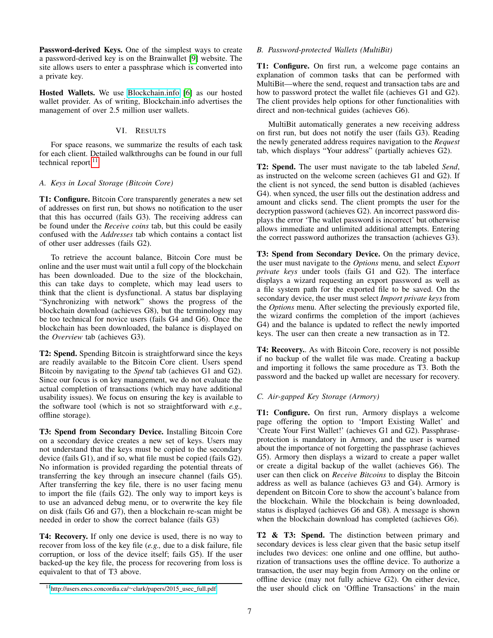Password-derived Keys. One of the simplest ways to create a password-derived key is on the Brainwallet [\[9\]](#page-9-26) website. The site allows users to enter a passphrase which is converted into a private key.

Hosted Wallets. We use<Blockchain.info> [\[6\]](#page-9-27) as our hosted wallet provider. As of writing, Blockchain.info advertises the management of over 2.5 million user wallets.

## VI. RESULTS

For space reasons, we summarize the results of each task for each client. Detailed walkthroughs can be found in our full technical report.<sup>[11](#page-6-0)</sup>

## *A. Keys in Local Storage (Bitcoin Core)*

T1: Configure. Bitcoin Core transparently generates a new set of addresses on first run, but shows no notification to the user that this has occurred (fails G3). The receiving address can be found under the *Receive coins* tab, but this could be easily confused with the *Addresses* tab which contains a contact list of other user addresses (fails G2).

To retrieve the account balance, Bitcoin Core must be online and the user must wait until a full copy of the blockchain has been downloaded. Due to the size of the blockchain, this can take days to complete, which may lead users to think that the client is dysfunctional. A status bar displaying "Synchronizing with network" shows the progress of the blockchain download (achieves G8), but the terminology may be too technical for novice users (fails G4 and G6). Once the blockchain has been downloaded, the balance is displayed on the *Overview* tab (achieves G3).

T2: Spend. Spending Bitcoin is straightforward since the keys are readily available to the Bitcoin Core client. Users spend Bitcoin by navigating to the *Spend* tab (achieves G1 and G2). Since our focus is on key management, we do not evaluate the actual completion of transactions (which may have additional usability issues). We focus on ensuring the key is available to the software tool (which is not so straightforward with *e.g.,* offline storage).

T3: Spend from Secondary Device. Installing Bitcoin Core on a secondary device creates a new set of keys. Users may not understand that the keys must be copied to the secondary device (fails G1), and if so, what file must be copied (fails G2). No information is provided regarding the potential threats of transferring the key through an insecure channel (fails G5). After transferring the key file, there is no user facing menu to import the file (fails G2). The only way to import keys is to use an advanced debug menu, or to overwrite the key file on disk (fails G6 and G7), then a blockchain re-scan might be needed in order to show the correct balance (fails G3)

T4: Recovery. If only one device is used, there is no way to recover from loss of the key file (*e.g.,* due to a disk failure, file corruption, or loss of the device itself; fails G5). If the user backed-up the key file, the process for recovering from loss is equivalent to that of T3 above.

## *B. Password-protected Wallets (MultiBit)*

T1: Configure. On first run, a welcome page contains an explanation of common tasks that can be performed with MultiBit—where the send, request and transaction tabs are and how to password protect the wallet file (achieves G1 and G2). The client provides help options for other functionalities with direct and non-technical guides (achieves G6).

MultiBit automatically generates a new receiving address on first run, but does not notify the user (fails G3). Reading the newly generated address requires navigation to the *Request* tab, which displays "Your address" (partially achieves G2).

T2: Spend. The user must navigate to the tab labeled *Send*, as instructed on the welcome screen (achieves G1 and G2). If the client is not synced, the send button is disabled (achieves G4). when synced, the user fills out the destination address and amount and clicks send. The client prompts the user for the decryption password (achieves G2). An incorrect password displays the error 'The wallet password is incorrect' but otherwise allows immediate and unlimited additional attempts. Entering the correct password authorizes the transaction (achieves G3).

T3: Spend from Secondary Device. On the primary device, the user must navigate to the *Options* menu, and select *Export private keys* under tools (fails G1 and G2). The interface displays a wizard requesting an export password as well as a file system path for the exported file to be saved. On the secondary device, the user must select *Import private keys* from the *Options* menu. After selecting the previously exported file, the wizard confirms the completion of the import (achieves G4) and the balance is updated to reflect the newly imported keys. The user can then create a new transaction as in T2.

T4: Recovery.. As with Bitcoin Core, recovery is not possible if no backup of the wallet file was made. Creating a backup and importing it follows the same procedure as T3. Both the password and the backed up wallet are necessary for recovery.

## *C. Air-gapped Key Storage (Armory)*

T1: Configure. On first run, Armory displays a welcome page offering the option to 'Import Existing Wallet' and 'Create Your First Wallet!' (achieves G1 and G2). Passphraseprotection is mandatory in Armory, and the user is warned about the importance of not forgetting the passphrase (achieves G5). Armory then displays a wizard to create a paper wallet or create a digital backup of the wallet (achieves G6). The user can then click on *Receive Bitcoins* to display the Bitcoin address as well as balance (achieves G3 and G4). Armory is dependent on Bitcoin Core to show the account's balance from the blockchain. While the blockchain is being downloaded, status is displayed (achieves G6 and G8). A message is shown when the blockchain download has completed (achieves G6).

T2 & T3: Spend. The distinction between primary and secondary devices is less clear given that the basic setup itself includes two devices: one online and one offline, but authorization of transactions uses the offline device. To authorize a transaction, the user may begin from Armory on the online or offline device (may not fully achieve G2). On either device, the user should click on 'Offline Transactions' in the main

<span id="page-6-0"></span><sup>11</sup>[http://users.encs.concordia.ca/](http://users.encs.concordia.ca/~clark/papers/2015_usec_full.pdf)∼clark/papers/2015 usec full.pdf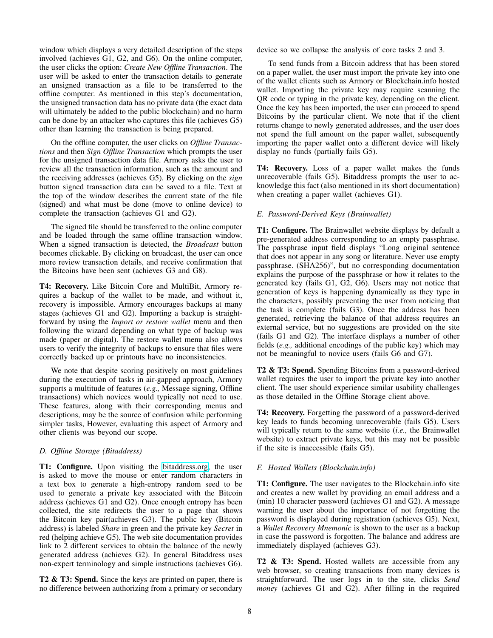window which displays a very detailed description of the steps involved (achieves G1, G2, and G6). On the online computer, the user clicks the option: *Create New Offline Transaction*. The user will be asked to enter the transaction details to generate an unsigned transaction as a file to be transferred to the offline computer. As mentioned in this step's documentation, the unsigned transaction data has no private data (the exact data will ultimately be added to the public blockchain) and no harm can be done by an attacker who captures this file (achieves G5) other than learning the transaction is being prepared.

On the offline computer, the user clicks on *Offline Transactions* and then *Sign Offline Transaction* which prompts the user for the unsigned transaction data file. Armory asks the user to review all the transaction information, such as the amount and the receiving addresses (achieves G5). By clicking on the *sign* button signed transaction data can be saved to a file. Text at the top of the window describes the current state of the file (signed) and what must be done (move to online device) to complete the transaction (achieves G1 and G2).

The signed file should be transferred to the online computer and be loaded through the same offline transaction window. When a signed transaction is detected, the *Broadcast* button becomes clickable. By clicking on broadcast, the user can once more review transaction details, and receive confirmation that the Bitcoins have been sent (achieves G3 and G8).

T4: Recovery. Like Bitcoin Core and MultiBit, Armory requires a backup of the wallet to be made, and without it, recovery is impossible. Armory encourages backups at many stages (achieves G1 and G2). Importing a backup is straightforward by using the *Import or restore wallet* menu and then following the wizard depending on what type of backup was made (paper or digital). The restore wallet menu also allows users to verify the integrity of backups to ensure that files were correctly backed up or printouts have no inconsistencies.

We note that despite scoring positively on most guidelines during the execution of tasks in air-gapped approach, Armory supports a multitude of features (*e.g.,* Message signing, Offline transactions) which novices would typically not need to use. These features, along with their corresponding menus and descriptions, may be the source of confusion while performing simpler tasks, However, evaluating this aspect of Armory and other clients was beyond our scope.

## *D. Offline Storage (Bitaddress)*

T1: Configure. Upon visiting the [bitaddress.org,](bitaddress.org) the user is asked to move the mouse or enter random characters in a text box to generate a high-entropy random seed to be used to generate a private key associated with the Bitcoin address (achieves G1 and G2). Once enough entropy has been collected, the site redirects the user to a page that shows the Bitcoin key pair(achieves G3). The public key (Bitcoin address) is labeled *Share* in green and the private key *Secret* in red (helping achieve G5). The web site documentation provides link to 2 different services to obtain the balance of the newly generated address (achieves G2). In general Bitaddress uses non-expert terminology and simple instructions (achieves G6).

T2 & T3: Spend. Since the keys are printed on paper, there is no difference between authorizing from a primary or secondary device so we collapse the analysis of core tasks 2 and 3.

To send funds from a Bitcoin address that has been stored on a paper wallet, the user must import the private key into one of the wallet clients such as Armory or Blockchain.info hosted wallet. Importing the private key may require scanning the QR code or typing in the private key, depending on the client. Once the key has been imported, the user can proceed to spend Bitcoins by the particular client. We note that if the client returns change to newly generated addresses, and the user does not spend the full amount on the paper wallet, subsequently importing the paper wallet onto a different device will likely display no funds (partially fails G5).

T4: Recovery. Loss of a paper wallet makes the funds unrecoverable (fails G5). Bitaddress prompts the user to acknowledge this fact (also mentioned in its short documentation) when creating a paper wallet (achieves G1).

## *E. Password-Derived Keys (Brainwallet)*

T1: Configure. The Brainwallet website displays by default a pre-generated address corresponding to an empty passphrase. The passphrase input field displays "Long original sentence that does not appear in any song or literature. Never use empty passphrase. (SHA256)", but no corresponding documentation explains the purpose of the passphrase or how it relates to the generated key (fails G1,  $G2$ ,  $G6$ ). Users may not notice that generation of keys is happening dynamically as they type in the characters, possibly preventing the user from noticing that the task is complete (fails G3). Once the address has been generated, retrieving the balance of that address requires an external service, but no suggestions are provided on the site (fails G1 and G2). The interface displays a number of other fields (*e.g.,* additional encodings of the public key) which may not be meaningful to novice users (fails G6 and G7).

T2 & T3: Spend. Spending Bitcoins from a password-derived wallet requires the user to import the private key into another client. The user should experience similar usability challenges as those detailed in the Offline Storage client above.

T4: Recovery. Forgetting the password of a password-derived key leads to funds becoming unrecoverable (fails G5). Users will typically return to the same website (*i.e.,* the Brainwallet website) to extract private keys, but this may not be possible if the site is inaccessible (fails G5).

## *F. Hosted Wallets (Blockchain.info)*

T1: Configure. The user navigates to the Blockchain.info site and creates a new wallet by providing an email address and a (min) 10 character password (achieves G1 and G2). A message warning the user about the importance of not forgetting the password is displayed during registration (achieves G5). Next, a *Wallet Recovery Mnemonic* is shown to the user as a backup in case the password is forgotten. The balance and address are immediately displayed (achieves G3).

T2 & T3: Spend. Hosted wallets are accessible from any web browser, so creating transactions from many devices is straightforward. The user logs in to the site, clicks *Send money* (achieves G1 and G2). After filling in the required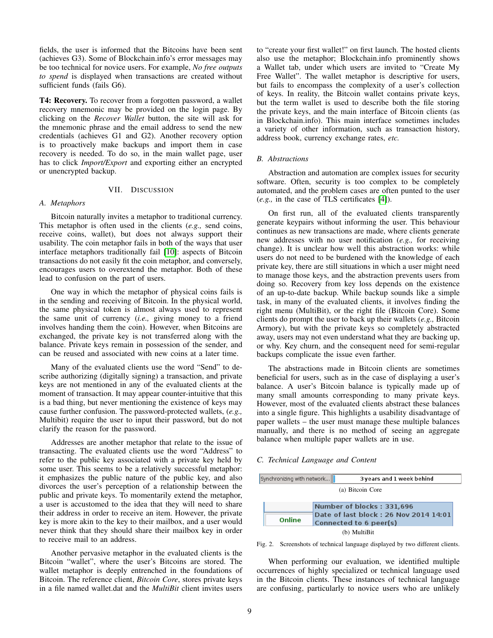fields, the user is informed that the Bitcoins have been sent (achieves G3). Some of Blockchain.info's error messages may be too technical for novice users. For example, *No free outputs to spend* is displayed when transactions are created without sufficient funds (fails G6).

T4: Recovery. To recover from a forgotten password, a wallet recovery mnemonic may be provided on the login page. By clicking on the *Recover Wallet* button, the site will ask for the mnemonic phrase and the email address to send the new credentials (achieves G1 and G2). Another recovery option is to proactively make backups and import them in case recovery is needed. To do so, in the main wallet page, user has to click *Import/Export* and exporting either an encrypted or unencrypted backup.

#### VII. DISCUSSION

#### *A. Metaphors*

Bitcoin naturally invites a metaphor to traditional currency. This metaphor is often used in the clients (*e.g.,* send coins, receive coins, wallet), but does not always support their usability. The coin metaphor fails in both of the ways that user interface metaphors traditionally fail [\[10\]](#page-9-28): aspects of Bitcoin transactions do not easily fit the coin metaphor, and conversely, encourages users to overextend the metaphor. Both of these lead to confusion on the part of users.

One way in which the metaphor of physical coins fails is in the sending and receiving of Bitcoin. In the physical world, the same physical token is almost always used to represent the same unit of currency (*i.e.,* giving money to a friend involves handing them the coin). However, when Bitcoins are exchanged, the private key is not transferred along with the balance. Private keys remain in possession of the sender, and can be reused and associated with new coins at a later time.

Many of the evaluated clients use the word "Send" to describe authorizing (digitally signing) a transaction, and private keys are not mentioned in any of the evaluated clients at the moment of transaction. It may appear counter-intuitive that this is a bad thing, but never mentioning the existence of keys may cause further confusion. The password-protected wallets, (*e.g.,* Multibit) require the user to input their password, but do not clarify the reason for the password.

Addresses are another metaphor that relate to the issue of transacting. The evaluated clients use the word "Address" to refer to the public key associated with a private key held by some user. This seems to be a relatively successful metaphor: it emphasizes the public nature of the public key, and also divorces the user's perception of a relationship between the public and private keys. To momentarily extend the metaphor, a user is accustomed to the idea that they will need to share their address in order to receive an item. However, the private key is more akin to the key to their mailbox, and a user would never think that they should share their mailbox key in order to receive mail to an address.

Another pervasive metaphor in the evaluated clients is the Bitcoin "wallet", where the user's Bitcoins are stored. The wallet metaphor is deeply entrenched in the foundations of Bitcoin. The reference client, *Bitcoin Core*, stores private keys in a file named wallet.dat and the *MultiBit* client invites users to "create your first wallet!" on first launch. The hosted clients also use the metaphor; Blockchain.info prominently shows a Wallet tab, under which users are invited to "Create My Free Wallet". The wallet metaphor is descriptive for users, but fails to encompass the complexity of a user's collection of keys. In reality, the Bitcoin wallet contains private keys, but the term wallet is used to describe both the file storing the private keys, and the main interface of Bitcoin clients (as in Blockchain.info). This main interface sometimes includes a variety of other information, such as transaction history, address book, currency exchange rates, *etc.*

#### *B. Abstractions*

Abstraction and automation are complex issues for security software. Often, security is too complex to be completely automated, and the problem cases are often punted to the user (*e.g.,* in the case of TLS certificates [\[4\]](#page-9-29)).

On first run, all of the evaluated clients transparently generate keypairs without informing the user. This behaviour continues as new transactions are made, where clients generate new addresses with no user notification (*e.g.,* for receiving change). It is unclear how well this abstraction works: while users do not need to be burdened with the knowledge of each private key, there are still situations in which a user might need to manage those keys, and the abstraction prevents users from doing so. Recovery from key loss depends on the existence of an up-to-date backup. While backup sounds like a simple task, in many of the evaluated clients, it involves finding the right menu (MultiBit), or the right file (Bitcoin Core). Some clients do prompt the user to back up their wallets (*e.g.,* Bitcoin Armory), but with the private keys so completely abstracted away, users may not even understand what they are backing up, or why. Key churn, and the consequent need for semi-regular backups complicate the issue even farther.

The abstractions made in Bitcoin clients are sometimes beneficial for users, such as in the case of displaying a user's balance. A user's Bitcoin balance is typically made up of many small amounts corresponding to many private keys. However, most of the evaluated clients abstract these balances into a single figure. This highlights a usability disadvantage of paper wallets – the user must manage these multiple balances manually, and there is no method of seeing an aggregate balance when multiple paper wallets are in use.

#### *C. Technical Language and Content*

<span id="page-8-1"></span><span id="page-8-0"></span>

|                  | Synchronizing with network<br>3 years and 1 week behind |  |  |  |  |  |
|------------------|---------------------------------------------------------|--|--|--|--|--|
| (a) Bitcoin Core |                                                         |  |  |  |  |  |
|                  |                                                         |  |  |  |  |  |
|                  | Number of blocks: 331,696                               |  |  |  |  |  |
| Online           | Date of last block: 26 Nov 2014 14:01                   |  |  |  |  |  |
|                  | Connected to 6 peer(s)                                  |  |  |  |  |  |
| (b) MultiBit     |                                                         |  |  |  |  |  |

Fig. 2. Screenshots of technical language displayed by two different clients.

When performing our evaluation, we identified multiple occurrences of highly specialized or technical language used in the Bitcoin clients. These instances of technical language are confusing, particularly to novice users who are unlikely